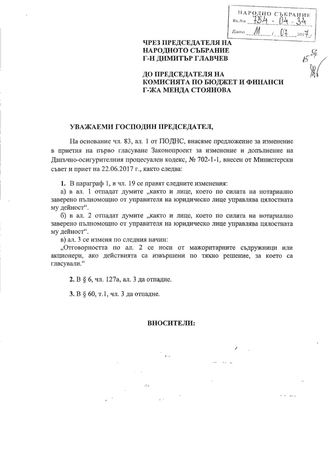| НАРОДНО СЪБРАНИЕ |
|------------------|
| Bx.No            |
| Дата             |

 $\sqrt{15}$ 

# ЧРЕЗ ПРЕДСЕДАТЕЛЯ НА НАРОДНОТО СЪБРАНИЕ Г-Н ДИМИТЪР ГЛАВЧЕВ

ДО ПРЕДСЕДАТЕЛЯ НА КОМИСИЯТА ПО БЮДЖЕТ И ФИНАНСИ Г-ЖА МЕНДА СТОЯНОВА

## УВАЖАЕМИ ГОСПОДИН ПРЕДСЕДАТЕЛ,

На основание чл. 83, ал. 1 от ПОДНС, внасяме предложение за изменение в приетия на първо гласуване Законопроект за изменение и допълнение на Данъчно-осигурителния процесуален кодекс, № 702-1-1, внесен от Министерски съвет и приет на 22.06.2017 г., както следва:

1. В параграф 1, в чл. 19 се правят следните изменения:

а) в ал. 1 отпадат думите "както и лице, което по силата на нотариално заверено пълномощно от управителя на юридическо лице управлява цялостната му дейност".

б) в ал. 2 отпадат думите "както и лице, което по силата на нотариално заверено пълномощно от управителя на юридическо лице управлява цялостната му дейност".

в) ал. 3 се изменя по следния начин:

"Отговорността по ал. 2 се носи от мажоритарните съдружници или акционери, ако действията са извършени по тяхно решение, за което са гласували."

2. В § 6, чл. 127а, ал. 3 да отпадне.

3. В § 60, т.1, чл. 3 да отпадне.

#### ВНОСИТЕЛИ: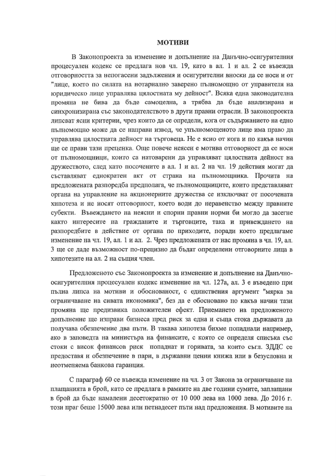## **МОТИВИ**

В Законопроекта за изменение и допълнение на Данъчно-осигурителния процесуален кодекс се предлага нов чл. 19, като в ал. 1 и ал. 2 се въвежда отговорността за непогасени задължения и осигурителни вноски да се носи и от "лице, което по силата на нотариално заверено пълномощно от управителя на юридическо лице управлява цялостната му дейност". Всяка една законодателна промяна не бива да бъде самоцелна, а трябва да бъде анализирана и синхронизирана със законодателството в други правни отрасли. В законопроекта липсват ясни критерии, чрез които да се определи, кога от съдържанието на едно пълномощно може да се направи извод, че упълномощеното лице има право да управлява цялостната дейност на търговеца. Не е ясно от кога и по какъв начин ще се прави тази преценка. Още повече неясен е мотива отговорност да се носи от пълномощници, които са натоварени да управляват цялостната дейност на дружеството, след като посочените в ал. 1 и ал. 2 на чл. 19 действия могат да съставляват еднократен акт от страна на пълномощника. Прочита на предложената разпоредба предполага, че пълномощниците, които представляват органа на управление на акционерните дружества се изключват от посочената хипотеза и не носят отговорност, което води до неравенство между правните субекти. Въвеждането на неясни и спорни правни норми би могло да засегне както интересите на гражданите и търговците, така и привеждането на разпоредбите в действие от органа по приходите, поради което предлагаме изменение на чл. 19, ал. 1 и ал. 2. Чрез предложената от нас промяна в чл. 19, ал. 3 ще се даде възможност по-прецизно да бъдат определени отговорните лица в хипотезите на ал. 2 на същия член.

Предложеното със Законопроекта за изменение и допълнение на Данъчноосигурителния процесуален кодекс изменение на чл. 127а, ал. 3 е въведено при пълна липса на мотиви и обоснованост, с единствения аргумент "мярка за ограничаване на сивата икономика", без да е обосновано по какъв начин тази промяна ще предизвика положителен ефект. Приемането на предложеното допълнение ще изправи бизнеса пред риск за една и съща стока държавата да получава обезпечение два пъти. В такава хипотеза бихме попаднали например, ако в заповедта на министъра на финансите, с която се определя списъка със стоки с висок финансов риск попаднат и горивата, за които съгл. ЗДДС се предоставя и обезпечение в пари, в държавни ценни книжа или в безусловна и неотменяема банкова гаранция.

С параграф 60 се въвежда изменение на чл. 3 от Закона за ограничаване на плащанията в брой, като се предлага в рамките на две години сумите, заплащани в брой да бъде намалени десетократно от 10 000 лева на 1000 лева. До 2016 г. този праг беше 15000 лева или петнадесет пъти над предложения. В мотивите на